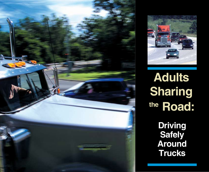



**Sharing the Road: Adults**

> **Driving Safely Around Trucks**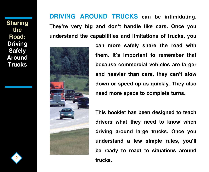**Sharing the Road: Driving Safely Around Trucks**

**DRIVING AROUND TRUCKS can be intimidating. They're very big and don't handle like cars. Once you understand the capabilities and limitations of trucks, you** 



**can more safely share the road with them. It's important to remember that because commercial vehicles are larger and heavier than cars, they can't slow down or speed up as quickly. They also need more space to complete turns.**

**This booklet has been designed to teach drivers what they need to know when driving around large trucks. Once you understand a few simple rules, you'll be ready to react to situations around trucks.**

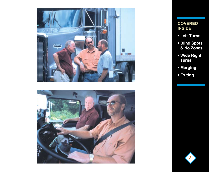



### **COVERED INSIDE:**

- **Left Turns**
- **Blind Spots & No Zones**
- **Wide Right Turns**
- **Merging**
- **Exiting**

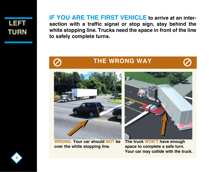### **Left Turn**

**IF YOU ARE THE FIRST VEHICLE to arrive at an intersection with a traffic signal or stop sign, stay behind the white stopping line. Trucks need the space in front of the line to safely complete turns.**



### **THE WRONG WAY**



**WRONG: Your car should NOT be over the white stopping line.** 



**The truck WON'T have enough space to complete a safe turn. Your car may collide with the truck.**

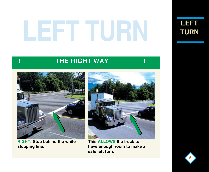# **LEFT TURN**

**Left Turn**

### **! THE RIGHT WAY !**



**RIGHT: Stop behind the white stopping line.**



**This allows the truck to have enough room to make a safe left turn.**

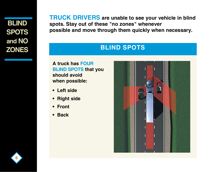**Blind Spots and No Zones** **TRUCK DRIVERS are unable to see your vehicle in blind spots. Stay out of these "no zones" whenever possible and move through them quickly when necessary.** 

### **BLIND SPOTS**

**A truck has four blind spots that you should avoid when possible:**

- **Left side**
- **Right side**
- **Front**
- **Back**



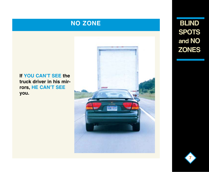### **NO ZONE**

### **If you can't see the truck driver in his mirrors, HE can't see you.**



**Blind Spots and No Zones**

**7**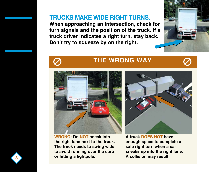**Trucks make wide right turns. When approaching an intersection, check for turn signals and the position of the truck. If a truck driver indicates a right turn, stay back.** 

**Don't try to squeeze by on the right.**





### **THE WRONG WAY**



**WRONG: Do NOT sneak into the right lane next to the truck. The truck needs to swing wide to avoid running over the curb or hitting a lightpole.**



**A truck DOES NOT have enough space to complete a safe right turn when a car sneaks up into the right lane. A collision may result.**

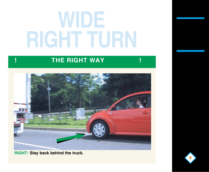## **WIDE RIGHT TURN**

### **! THE RIGHT WAY !**



**RIGHT: Stay back behind the truck.**

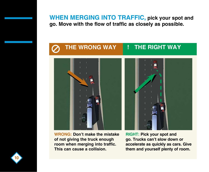**WHEN MERGING INTO TRAFFIC, pick your spot and go. Move with the flow of traffic as closely as possible.**



**WRONG: Don't make the mistake of not giving the truck enough room when merging into traffic. This can cause a collision.**

**RIGHT: Pick your spot and go. Trucks can't slow down or accelerate as quickly as cars. Give them and yourself plenty of room.**

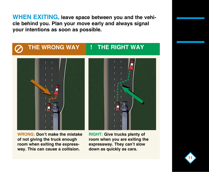**WHEN EXITING, leave space between you and the vehicle behind you. Plan your move early and always signal your intentions as soon as possible.**



**WRONG: Don't make the mistake of not giving the truck enough room when exiting the expressway. This can cause a collision.**

**RIGHT: Give trucks plenty of room when you are exiting the expressway. They can't slow down as quickly as cars.**